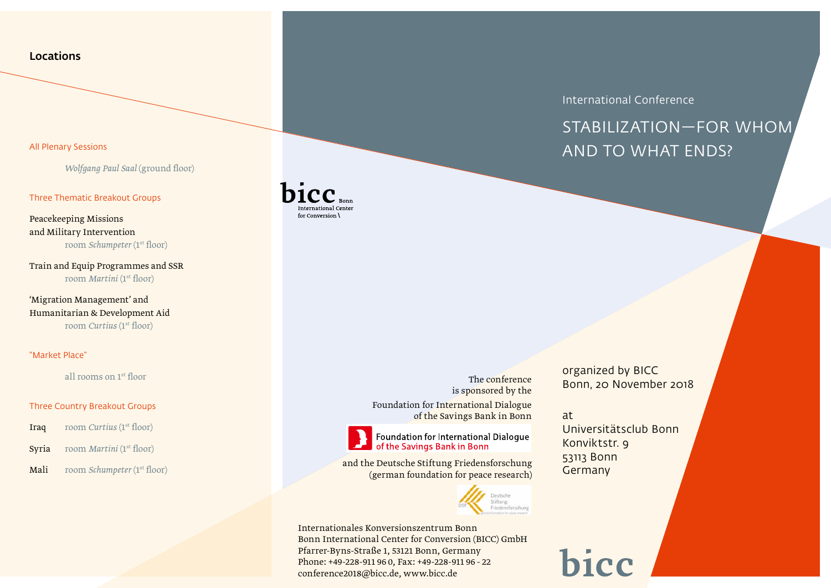### **Locations**

### All Plenary Sessions

*Wolfgang Paul Saal* (ground floor)

#### Three Thematic Breakout Groups

Peacekeeping Missions and Military Intervention room *Schumpeter* (1st floor)

Train and Equip Programmes and SSR room *Martini* (1st floor)

'Migration Management' and Humanitarian & Development Aid room *Curtius* (1<sup>st</sup> floor)

### "Market Place"

all rooms on 1st floor

### Three Country Breakout Groups

- Iraq room *Curtius* (1st floor)
- Syria room *Martini* (1<sup>st</sup> floor)
- Mali room *Schumpeter* (1<sup>st</sup> floor)



The conference is sponsored by the Foundation for International Dialogue of the Savings Bank in Bonn

Foundation for International Dialogue of the Savings Bank in Bonn

and the Deutsche Stiftung Friedensforschung (german foundation for peace research)



Internationales Konversionszentrum Bonn Bonn International Center for Conversion (BICC) GmbH Pfarrer-Byns-Straße 1, 53121 Bonn, Germany Phone: +49-228-911 96 0, Fax: +49-228-911 96 - 22 conference2018@bicc.de, www.bicc.de

International Conference

# Stabilization—For Whom and to What Ends?

organized by BICC Bonn, 20 November 2018

### at

Universitätsclub Bonn Konviktstr. 9 53113 Bonn **Germany** 

# bicc